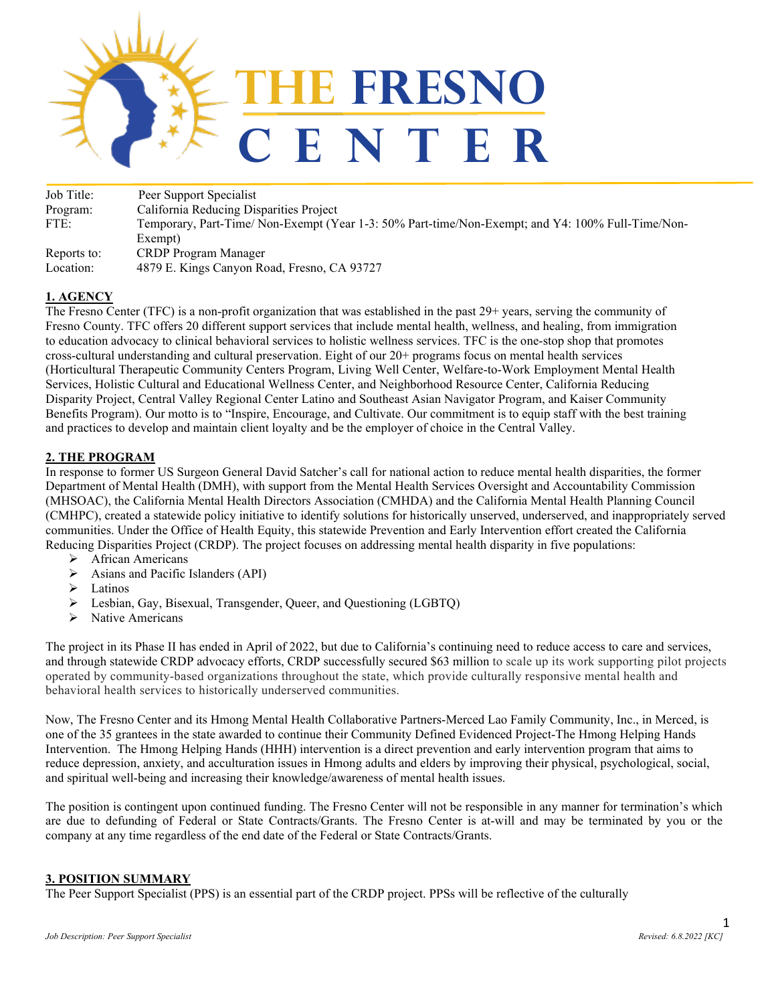

Job Title: Peer Support Specialist Program: California Reducing Disparities Project FTE: Temporary, Part-Time/ Non-Exempt (Year 1-3: 50% Part-time/Non-Exempt; and Y4: 100% Full-Time/Non-Exempt) Reports to: CRDP Program Manager Location: 4879 E. Kings Canyon Road, Fresno, CA 93727

# **1. AGENCY**

The Fresno Center (TFC) is a non-profit organization that was established in the past 29+ years, serving the community of Fresno County. TFC offers 20 different support services that include mental health, wellness, and healing, from immigration to education advocacy to clinical behavioral services to holistic wellness services. TFC is the one-stop shop that promotes cross-cultural understanding and cultural preservation. Eight of our 20+ programs focus on mental health services (Horticultural Therapeutic Community Centers Program, Living Well Center, Welfare-to-Work Employment Mental Health Services, Holistic Cultural and Educational Wellness Center, and Neighborhood Resource Center, California Reducing Disparity Project, Central Valley Regional Center Latino and Southeast Asian Navigator Program, and Kaiser Community Benefits Program). Our motto is to "Inspire, Encourage, and Cultivate. Our commitment is to equip staff with the best training and practices to develop and maintain client loyalty and be the employer of choice in the Central Valley.

# **2. THE PROGRAM**

In response to former US Surgeon General David Satcher's call for national action to reduce mental health disparities, the former Department of Mental Health (DMH), with support from the Mental Health Services Oversight and Accountability Commission (MHSOAC), the California Mental Health Directors Association (CMHDA) and the California Mental Health Planning Council (CMHPC), created a statewide policy initiative to identify solutions for historically unserved, underserved, and inappropriately served communities. Under the Office of Health Equity, this statewide Prevention and Early Intervention effort created the California Reducing Disparities Project (CRDP). The project focuses on addressing mental health disparity in five populations:

- > African Americans
- $\triangleright$  Asians and Pacific Islanders (API)
- $\triangleright$  Latinos
- Lesbian, Gay, Bisexual, Transgender, Queer, and Questioning (LGBTQ)
- $\triangleright$  Native Americans

The project in its Phase II has ended in April of 2022, but due to California's continuing need to reduce access to care and services, and through statewide CRDP advocacy efforts, CRDP successfully secured \$63 million to scale up its work supporting pilot projects operated by community-based organizations throughout the state, which provide culturally responsive mental health and behavioral health services to historically underserved communities.

Now, The Fresno Center and its Hmong Mental Health Collaborative Partners-Merced Lao Family Community, Inc., in Merced, is one of the 35 grantees in the state awarded to continue their Community Defined Evidenced Project-The Hmong Helping Hands Intervention. The Hmong Helping Hands (HHH) intervention is a direct prevention and early intervention program that aims to reduce depression, anxiety, and acculturation issues in Hmong adults and elders by improving their physical, psychological, social, and spiritual well-being and increasing their knowledge/awareness of mental health issues.

The position is contingent upon continued funding. The Fresno Center will not be responsible in any manner for termination's which are due to defunding of Federal or State Contracts/Grants. The Fresno Center is at-will and may be terminated by you or the company at any time regardless of the end date of the Federal or State Contracts/Grants.

## **3. POSITION SUMMARY**

The Peer Support Specialist (PPS) is an essential part of the CRDP project. PPSs will be reflective of the culturally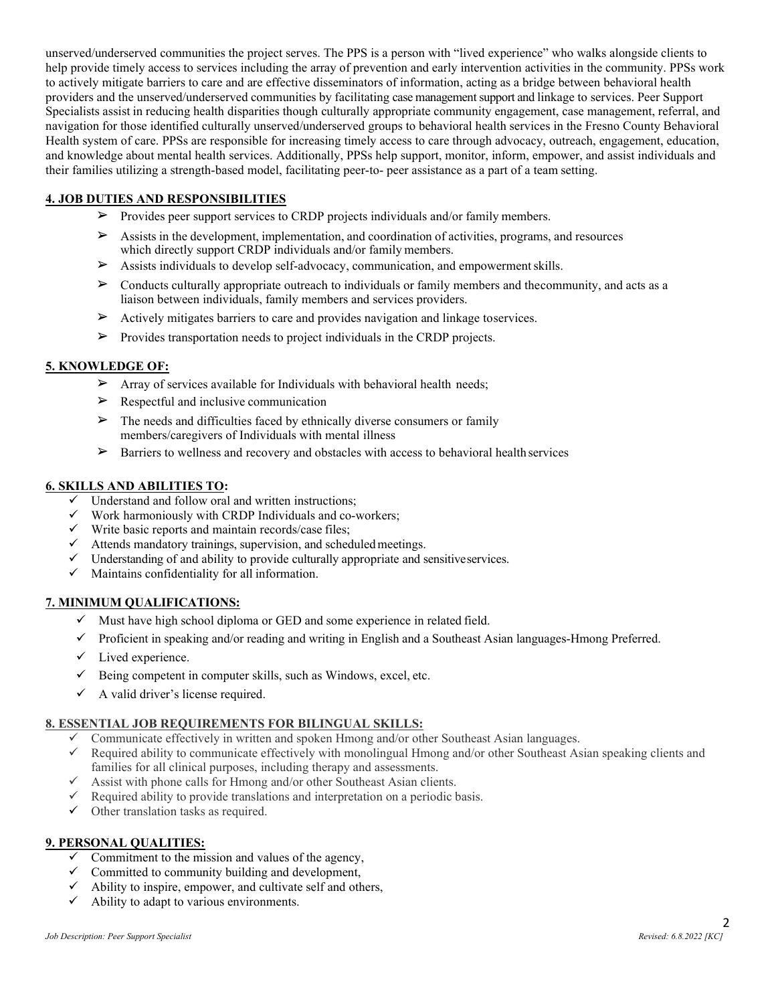unserved/underserved communities the project serves. The PPS is a person with "lived experience" who walks alongside clients to help provide timely access to services including the array of prevention and early intervention activities in the community. PPSs work to actively mitigate barriers to care and are effective disseminators of information, acting as a bridge between behavioral health providers and the unserved/underserved communities by facilitating case management support and linkage to services. Peer Support Specialists assist in reducing health disparities though culturally appropriate community engagement, case management, referral, and navigation for those identified culturally unserved/underserved groups to behavioral health services in the Fresno County Behavioral Health system of care. PPSs are responsible for increasing timely access to care through advocacy, outreach, engagement, education, and knowledge about mental health services. Additionally, PPSs help support, monitor, inform, empower, and assist individuals and their families utilizing a strength-based model, facilitating peer-to- peer assistance as a part of a team setting.

# **4. JOB DUTIES AND RESPONSIBILITIES**

- ➢ Provides peer support services to CRDP projects individuals and/or family members.
- ➢ Assists in the development, implementation, and coordination of activities, programs, and resources which directly support CRDP individuals and/or family members.
- ➢ Assists individuals to develop self-advocacy, communication, and empowermentskills.
- $\triangleright$  Conducts culturally appropriate outreach to individuals or family members and thecommunity, and acts as a liaison between individuals, family members and services providers.
- $\triangleright$  Actively mitigates barriers to care and provides navigation and linkage toservices.
- $\triangleright$  Provides transportation needs to project individuals in the CRDP projects.

## **5. KNOWLEDGE OF:**

- $\triangleright$  Array of services available for Individuals with behavioral health needs;
- $\triangleright$  Respectful and inclusive communication
- $\triangleright$  The needs and difficulties faced by ethnically diverse consumers or family members/caregivers of Individuals with mental illness
- $\triangleright$  Barriers to wellness and recovery and obstacles with access to behavioral health services

#### **6. SKILLS AND ABILITIES TO:**

- $\checkmark$  Understand and follow oral and written instructions;<br> $\checkmark$  Work harmoniously with CRDP Individuals and so x
- Work harmoniously with CRDP Individuals and co-workers;
- $\checkmark$  Write basic reports and maintain records/case files;
- $\checkmark$  Attends mandatory trainings, supervision, and scheduled meetings.
- $\checkmark$  Understanding of and ability to provide culturally appropriate and sensitiveservices.
- $\checkmark$  Maintains confidentiality for all information.

## **7. MINIMUM QUALIFICATIONS:**

- $\checkmark$  Must have high school diploma or GED and some experience in related field.
- $\checkmark$  Proficient in speaking and/or reading and writing in English and a Southeast Asian languages-Hmong Preferred.
- $\checkmark$  Lived experience.
- $\checkmark$  Being competent in computer skills, such as Windows, excel, etc.
- $\checkmark$  A valid driver's license required.

## **8. ESSENTIAL JOB REQUIREMENTS FOR BILINGUAL SKILLS:**

- Communicate effectively in written and spoken Hmong and/or other Southeast Asian languages.
- $\checkmark$  Required ability to communicate effectively with monolingual Hmong and/or other Southeast Asian speaking clients and families for all clinical purposes, including therapy and assessments.
- $\checkmark$  Assist with phone calls for Hmong and/or other Southeast Asian clients.<br> $\checkmark$  Required ability to provide translations and interpretation on a periodic h
- Required ability to provide translations and interpretation on a periodic basis.
- $\checkmark$  Other translation tasks as required.

## **9. PERSONAL QUALITIES:**

- $\checkmark$  Commitment to the mission and values of the agency,
- $\checkmark$  Committed to community building and development,
- $\checkmark$  Ability to inspire, empower, and cultivate self and others,
- $\checkmark$  Ability to adapt to various environments.